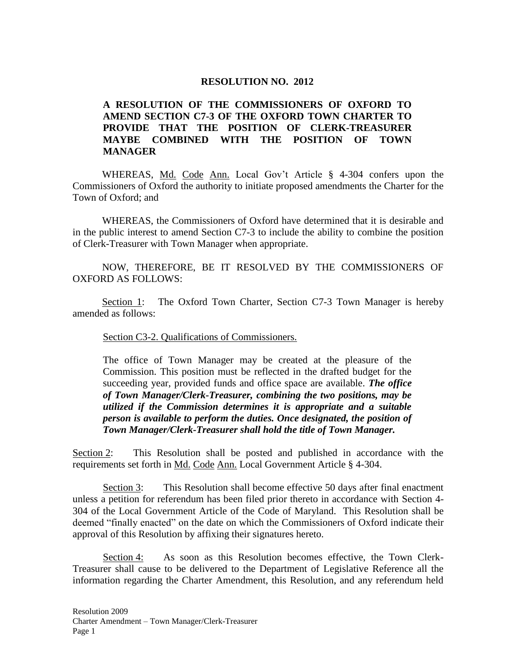## **RESOLUTION NO. 2012**

## **A RESOLUTION OF THE COMMISSIONERS OF OXFORD TO AMEND SECTION C7-3 OF THE OXFORD TOWN CHARTER TO PROVIDE THAT THE POSITION OF CLERK-TREASURER MAYBE COMBINED WITH THE POSITION OF TOWN MANAGER**

WHEREAS, Md. Code Ann. Local Gov't Article § 4-304 confers upon the Commissioners of Oxford the authority to initiate proposed amendments the Charter for the Town of Oxford; and

WHEREAS, the Commissioners of Oxford have determined that it is desirable and in the public interest to amend Section C7-3 to include the ability to combine the position of Clerk-Treasurer with Town Manager when appropriate.

NOW, THEREFORE, BE IT RESOLVED BY THE COMMISSIONERS OF OXFORD AS FOLLOWS:

Section 1: The Oxford Town Charter, Section C7-3 Town Manager is hereby amended as follows:

Section C3-2. Qualifications of Commissioners.

The office of Town Manager may be created at the pleasure of the Commission. This position must be reflected in the drafted budget for the succeeding year, provided funds and office space are available. *The office of Town Manager/Clerk-Treasurer, combining the two positions, may be utilized if the Commission determines it is appropriate and a suitable person is available to perform the duties. Once designated, the position of Town Manager/Clerk-Treasurer shall hold the title of Town Manager.*

Section 2: This Resolution shall be posted and published in accordance with the requirements set forth in Md. Code Ann. Local Government Article § 4-304.

Section 3: This Resolution shall become effective 50 days after final enactment unless a petition for referendum has been filed prior thereto in accordance with Section 4- 304 of the Local Government Article of the Code of Maryland. This Resolution shall be deemed "finally enacted" on the date on which the Commissioners of Oxford indicate their approval of this Resolution by affixing their signatures hereto.

Section 4: As soon as this Resolution becomes effective, the Town Clerk-Treasurer shall cause to be delivered to the Department of Legislative Reference all the information regarding the Charter Amendment, this Resolution, and any referendum held